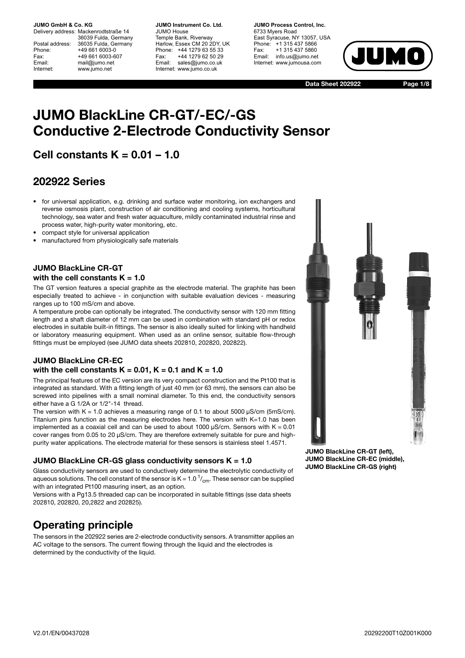Delivery address: Mackenrodtstraße 14 36039 Fulda, Germany Postal address: 36035 Fulda, Germany Phone: +49 661 6003-0 Fax: +49 661 6003-607 Email: mail@jumo.net Internet: www.jumo.net

**JUMO Instrument Co. Ltd.** JUMO House Temple Bank, Riverway Harlow, Essex CM 20 2DY, UK Phone: +44 1279 63 55 33 Fax: +44 1279 62 50 29 Email: sales@jumo.co.uk Internet: www.jumo.co.uk

**JUMO Process Control, Inc.** 6733 Myers Road East Syracuse, NY 13057, USA Phone: +1 315 437 5866 Fax: +1 315 437 5860 Email: info.us@jumo.net Internet: www.jumousa.com



**Data Sheet 202922**

**Page 1/8**

# **JUMO BlackLine CR-GT/-EC/-GS Conductive 2-Electrode Conductivity Sensor**

# **Cell constants K = 0.01 – 1.0**

## **202922 Series**

- for universal application, e.g. drinking and surface water monitoring, ion exchangers and reverse osmosis plant, construction of air conditioning and cooling systems, horticultural technology, sea water and fresh water aquaculture, mildly contaminated industrial rinse and process water, high-purity water monitoring, etc.
- compact style for universal application
- manufactured from physiologically safe materials

### **JUMO BlackLine CR-GT with the cell constants K = 1.0**

The GT version features a special graphite as the electrode material. The graphite has been especially treated to achieve - in conjunction with suitable evaluation devices - measuring ranges up to 100 mS/cm and above.

A temperature probe can optionally be integrated. The conductivity sensor with 120 mm fitting length and a shaft diameter of 12 mm can be used in combination with standard pH or redox electrodes in suitable built-in fittings. The sensor is also ideally suited for linking with handheld or laboratory measuring equipment. When used as an online sensor, suitable flow-through fittings must be employed (see JUMO data sheets 202810, 202820, 202822).

## **JUMO BlackLine CR-EC with the cell constants K = 0.01, K = 0.1 and K = 1.0**

The principal features of the EC version are its very compact construction and the Pt100 that is integrated as standard. With a fitting length of just 40 mm (or 63 mm), the sensors can also be screwed into pipelines with a small nominal diameter. To this end, the conductivity sensors either have a G 1/2A or 1/2"-14 thread.

The version with  $K = 1.0$  achieves a measuring range of 0.1 to about 5000  $\mu$ S/cm (5mS/cm). Titanium pins function as the measuring electrodes here. The version with  $K=1.0$  has been implemented as a coaxial cell and can be used to about 1000  $\mu$ S/cm. Sensors with K = 0.01 cover ranges from 0.05 to 20 µS/cm. They are therefore extremely suitable for pure and highpurity water applications. The electrode material for these sensors is stainless steel 1.4571.

### **JUMO BlackLine CR-GS glass conductivity sensors K = 1.0**

Glass conductivity sensors are used to conductively determine the electrolytic conductivity of aqueous solutions. The cell constant of the sensor is K = 1.0  $1/1$ <sub>cm</sub>. These sensor can be supplied with an integrated Pt100 masuring insert, as an option.

Versions with a Pg13.5 threaded cap can be incorporated in suitable fittings (sse data sheets 202810, 202820, 20,2822 and 202825).

# **Operating principle**

The sensors in the 202922 series are 2-electrode conductivity sensors. A transmitter applies an AC voltage to the sensors. The current flowing through the liquid and the electrodes is determined by the conductivity of the liquid.

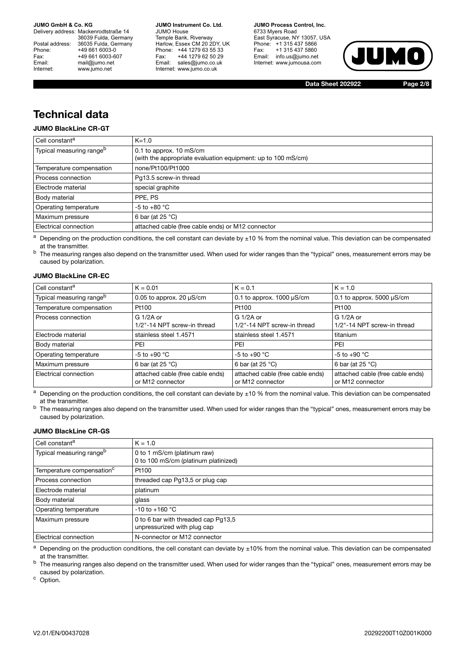Delivery address: Mackenrodtstraße 14 36039 Fulda, Germany Postal address: 36035 Fulda, Germany Phone: +49 661 6003-0 Fax: +49 661 6003-607<br>Email: +49 661 6003-607 mail@jumo.net Internet: www.jumo.net

**JUMO Instrument Co. Ltd.** JUMO House Temple Bank, Riverway Harlow, Essex CM 20 2DY, UK Phone: +44 1279 63 55 33 Fax: +44 1279 62 50 29 Email: sales@jumo.co.uk Internet: www.jumo.co.uk

**JUMO Process Control, Inc.** 6733 Myers Road East Syracuse, NY 13057, USA Phone: +1 315 437 5866 Fax: +1 315 437 5860 Email: info.us@jumo.net Internet: www.jumousa.com



**Data Sheet 202922**

**Page 2/8**

# **Technical data**

### **JUMO BlackLine CR-GT**

| $K = 1.0$                                                    |
|--------------------------------------------------------------|
| 0.1 to approx. $10 \text{ mS/cm}$                            |
| (with the appropriate evaluation equipment: up to 100 mS/cm) |
| none/Pt100/Pt1000                                            |
| Pq13.5 screw-in thread                                       |
| special graphite                                             |
| PPE, PS                                                      |
| -5 to +80 $^{\circ}$ C                                       |
| 6 bar (at $25^{\circ}$ C)                                    |
| attached cable (free cable ends) or M12 connector            |
|                                                              |

 $a$  Depending on the production conditions, the cell constant can deviate by  $\pm 10$  % from the nominal value. This deviation can be compensated at the transmitter.

b The measuring ranges also depend on the transmitter used. When used for wider ranges than the "typical" ones, measurement errors may be caused by polarization.

#### **JUMO BlackLine CR-EC**

| l Cell constant <sup>a</sup>         | $K = 0.01$                                           | $K = 0.1$                                            | $K = 1.0$                                            |
|--------------------------------------|------------------------------------------------------|------------------------------------------------------|------------------------------------------------------|
| Typical measuring range <sup>b</sup> | 0.05 to approx. 20 $\mu$ S/cm                        | 0.1 to approx. $1000 \mu S/cm$                       | 0.1 to approx. 5000 $\mu$ S/cm                       |
| Temperature compensation             | Pt100                                                | Pt100                                                | Pt100                                                |
| Process connection                   | G 1/2A or<br>1/2"-14 NPT screw-in thread             | $G1/2A$ or<br>1/2"-14 NPT screw-in thread            | G 1/2A or<br>1/2"-14 NPT screw-in thread             |
| Electrode material                   | stainless steel 1.4571                               | stainless steel 1.4571                               | titanium                                             |
| <b>Body material</b>                 | PEI                                                  | PEI                                                  | PEI                                                  |
| Operating temperature                | $-5$ to $+90$ °C                                     | $-5$ to $+90$ °C                                     | $-5$ to $+90$ °C                                     |
| Maximum pressure                     | 6 bar (at $25^{\circ}$ C)                            | 6 bar (at $25^{\circ}$ C)                            | 6 bar (at $25^{\circ}$ C)                            |
| Electrical connection                | attached cable (free cable ends)<br>or M12 connector | attached cable (free cable ends)<br>or M12 connector | attached cable (free cable ends)<br>or M12 connector |

 $a$  Depending on the production conditions, the cell constant can deviate by  $\pm 10$  % from the nominal value. This deviation can be compensated at the transmitter.

b The measuring ranges also depend on the transmitter used. When used for wider ranges than the "typical" ones, measurement errors may be caused by polarization.

#### **JUMO BlackLine CR-GS**

| Cell constant <sup>a</sup>            | $K = 1.0$                                                           |
|---------------------------------------|---------------------------------------------------------------------|
| Typical measuring range <sup>b</sup>  | 0 to 1 mS/cm (platinum raw)<br>0 to 100 mS/cm (platinum platinized) |
| Temperature compensation <sup>c</sup> | Pt100                                                               |
| Process connection                    | threaded cap Pg13,5 or plug cap                                     |
| Electrode material                    | platinum                                                            |
| Body material                         | glass                                                               |
| Operating temperature                 | $-10$ to $+160$ °C                                                  |
| Maximum pressure                      | 0 to 6 bar with threaded cap Pq13,5<br>unpressurized with plug cap  |
| Electrical connection                 | N-connector or M12 connector                                        |

 $a$  Depending on the production conditions, the cell constant can deviate by  $\pm 10\%$  from the nominal value. This deviation can be compensated at the transmitter.

<sup>b</sup> The measuring ranges also depend on the transmitter used. When used for wider ranges than the "typical" ones, measurement errors may be caused by polarization.

<sup>c</sup> Option.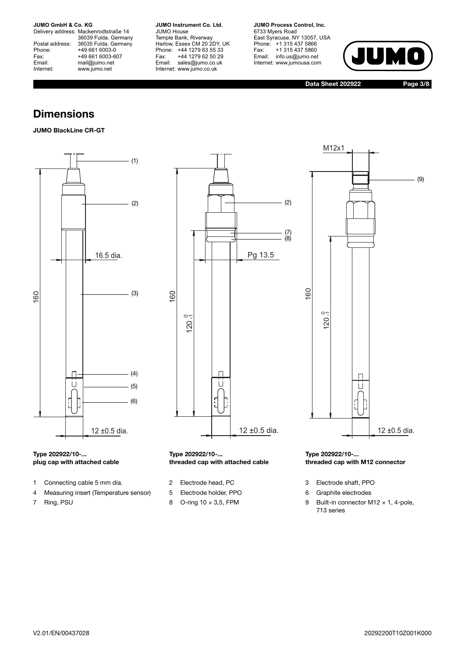Delivery address: Mackenrodtstraße 14 36039 Fulda, Germany Postal address: 36035 Fulda, Germany Postal address: 36035 Fulda, Ge<br>
Phone: +49 661 6003-0<br>
Fax: +49 661 6003-6<br>
Email: mail@jumo.net +49 661 6003-607 mail@jumo.net Internet: www.jumo.net

**JUMO Instrument Co. Ltd.** JUMO House Temple Bank, Riverway Harlow, Essex CM 20 2DY, UK Phone: +44 1279 63 55 33 Fax: +44 1279 62 50 29 Email: sales@jumo.co.uk Internet: www.jumo.co.uk

**JUMO Process Control, Inc.** 6733 Myers Road East Syracuse, NY 13057, USA Phone: +1 315 437 5866 Fax: +1 315 437 5860 Email: info.us@jumo.net Internet: www.jumousa.com



**Data Sheet 202922**

**Page 3/8**

(9)

## **Dimensions**

## **JUMO BlackLine CR-GT**



#### **Type 202922/10-... plug cap with attached cable**

- 1 Connecting cable 5 mm dia. 2 Electrode head, PC 3 Electrode shaft, PPO
- 4 Measuring insert (Temperature sensor) 5 Electrode holder, PPO 6 Graphite electrodes
- 



# **threaded cap with attached cable**

- 
- 
- 



П

- 
- 
- 7 Ring, PSU 2x 1, 4-pole, 8 O-ring 10 × 3,5, FPM 9 Built-in connector M12 × 1, 4-pole, 713 series

160

12 ±0.5 dia.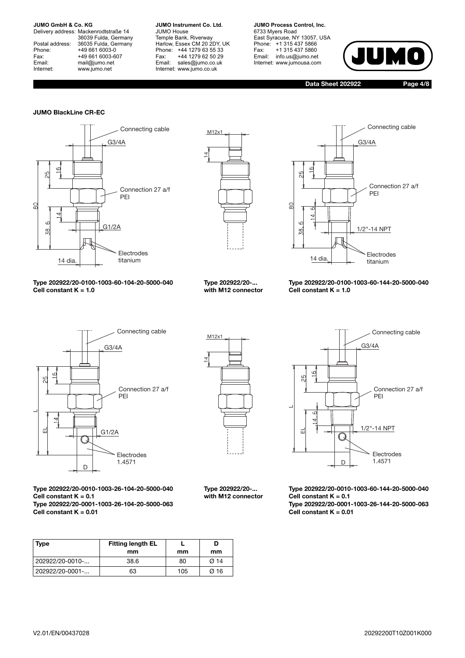Delivery address: Mackenrodtstraße 14 36039 Fulda, Germany Postal address: 36035 Fulda, Germany Phone: +49 661 6003-0 Fax: +49 661 6003-607<br>Email: +49 661 6003-607 mail@jumo.net Internet: www.jumo.net

**JUMO Instrument Co. Ltd.** JUMO House Temple Bank, Riverway Harlow, Essex CM 20 2DY, UK Phone: +44 1279 63 55 33 Fax: +44 1279 62 50 29 Email: sales@jumo.co.uk Internet: www.jumo.co.uk

**JUMO Process Control, Inc.** 6733 Myers Road East Syracuse, NY 13057, USA Phone: +1 315 437 5866 Fax: +1 315 437 5860 Email: info.us@jumo.net Internet: www.jumousa.com



**Data Sheet 202922**

**Page 4/8**

#### **JUMO BlackLine CR-EC**







**Type 202922/20-0100-1003-60-104-20-5000-040 Cell constant K = 1.0**



**Type 202922/20-0100-1003-60-144-20-5000-040 Cell constant K = 1.0**



**Type 202922/20-0010-1003-26-104-20-5000-040**

**Type 202922/20-0001-1003-26-104-20-5000-063**



**Type 202922/20-... with M12 connector**

> **D mm**

**L mm**



**Type 202922/20-0010-1003-60-144-20-5000-040 Cell constant K = 0.1 Type 202922/20-0001-1003-26-144-20-5000-063 Cell constant K = 0.01**

**Type** Fitting length EL **mm** 202922/20-0010-... | 38.6 | 80 | Ø 14 202922/20-0001-... 63 105 Ø 16

**Cell constant K = 0.1**

**Cell constant K = 0.01**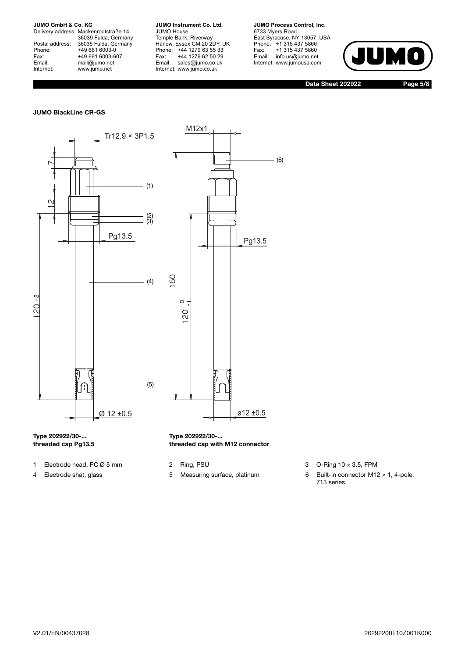Delivery address: Mackenrodtstraße 14 36039 Fulda, Germany Postal address: 36035 Fulda, Germany Postal address: 36035 Fulda, Ge<br>
Phone: +49 661 6003-0<br>
Fax: +49 661 6003-6<br>
Email: mail@jumo.net +49 661 6003-607 mail@jumo.net Internet: www.jumo.net

**JUMO Instrument Co. Ltd.** JUMO House Temple Bank, Riverway Harlow, Essex CM 20 2DY, UK Phone: +44 1279 63 55 33 Fax: +44 1279 62 50 29 Email: sales@jumo.co.uk Internet: www.jumo.co.uk

**JUMO Process Control, Inc.** 6733 Myers Road East Syracuse, NY 13057, USA Phone: +1 315 437 5866 Fax: +1 315 437 5860 Email: info.us@jumo.net Internet: www.jumousa.com



**Data Sheet 202922**

**Page 5/8**

#### **JUMO BlackLine CR-GS**





#### **Type 202922/30-... threaded cap Pg13.5**

- 1 Electrode head, PC Ø 5 mm 2 Ring, PSU 3 O-Ring 10 x 3.5, FPM
- 
- 

**Type 202922/30-...**

**threaded cap with M12 connector**

- 
- 4 Electrode shat, glass 5 Measuring surface, platinum 6 Built-in connector M12 x 1, 4-pole, 713 series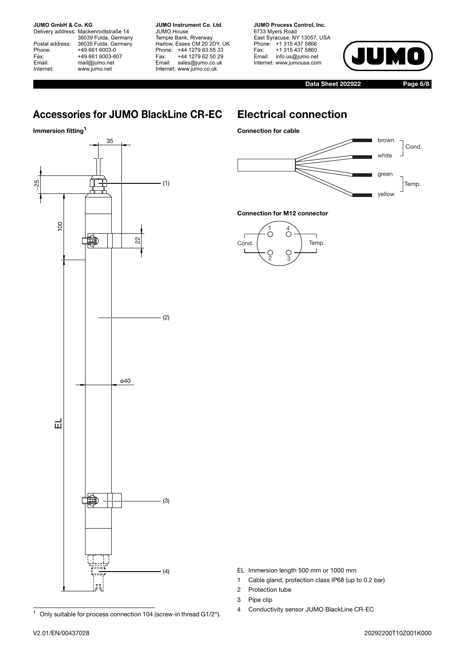Delivery address: Mackenrodtstraße 14 36039 Fulda, Germany Postal address: 36035 Fulda, Germany Postal address: 36035 Fulda, Ge<br>
Phone: +49 661 6003-0<br>
Fax: +49 661 6003-6<br>
Email: mail@jumo.net +49 661 6003-607 mail@jumo.net Internet: www.jumo.net

**JUMO Instrument Co. Ltd.** JUMO House Temple Bank, Riverway Harlow, Essex CM 20 2DY, UK Phone: +44 1279 63 55 33 Fax: +44 1279 62 50 29 Email: sales@jumo.co.uk Internet: www.jumo.co.uk

**JUMO Process Control, Inc.** 6733 Myers Road East Syracuse, NY 13057, USA Phone: +1 315 437 5866 Fax: +1 315 437 5860 Email: info.us@jumo.net Internet: www.jumousa.com



**Data Sheet 202922**

**Page 6/8**

# **Accessories for JUMO BlackLine CR-EC**

### **Immersion fitting1**



## **Electrical connection**





#### **Connection for M12 connector**



- $1$  Only suitable for process connection 104 (screw-in thread G1/2").
- EL Immersion length 500 mm or 1000 mm
- 1 Cable gland, protection class IP68 (up to 0.2 bar)
- 2 Protection tube
- 3 Pipe clip
- 4 Conductivity sensor JUMO BlackLine CR-EC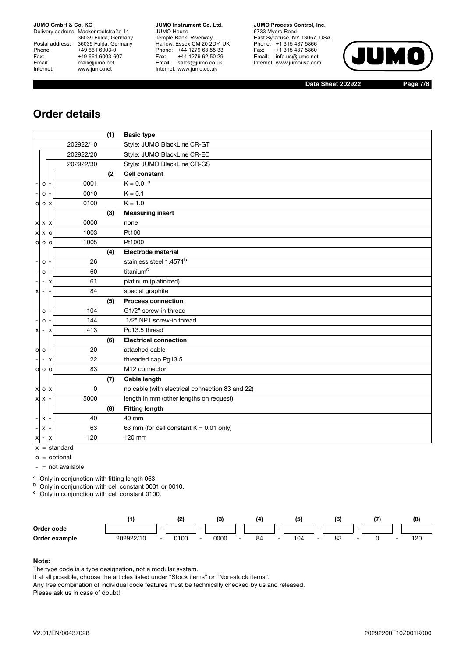Delivery address: Mackenrodtstraße 14 36039 Fulda, Germany Postal address: 36035 Fulda, Germany Postal address: 36035 Fulda, Ge<br>
Phone: +49 661 6003-0<br>
Fax: +49 661 6003-6<br>
Email: mail@jumo.net +49 661 6003-607 mail@jumo.net Internet: www.jumo.net

**JUMO Instrument Co. Ltd.** JUMO House Temple Bank, Riverway Harlow, Essex CM 20 2DY, UK Phone: +44 1279 63 55 33 Fax: +44 1279 62 50 29 Email: sales@jumo.co.uk Internet: www.jumo.co.uk

**JUMO Process Control, Inc.** 6733 Myers Road East Syracuse, NY 13057, USA Phone: +1 315 437 5866 Fax: +1 315 437 5860 Email: info.us@jumo.net Internet: www.jumousa.com



**Data Sheet 202922**

**Page 7/8**

# **Order details**

|                           |                                     |           | (1) | <b>Basic type</b>                               |
|---------------------------|-------------------------------------|-----------|-----|-------------------------------------------------|
|                           |                                     | 202922/10 |     | Style: JUMO BlackLine CR-GT                     |
|                           |                                     | 202922/20 |     | Style: JUMO BlackLine CR-EC                     |
|                           |                                     | 202922/30 |     | Style: JUMO BlackLine CR-GS                     |
|                           |                                     |           | (2) | <b>Cell constant</b>                            |
| $\overline{\phantom{a}}$  | $\circ$                             | 0001      |     | $K = 0.01a$                                     |
| $\overline{\phantom{a}}$  | $\circ$                             | 0010      |     | $K = 0.1$                                       |
|                           | $O$ $O$ $X$                         | 0100      |     | $K = 1.0$                                       |
|                           |                                     |           | (3) | <b>Measuring insert</b>                         |
|                           | $x \times x$                        | 0000      |     | none                                            |
|                           | $X$ $X$ $O$                         | 1003      |     | Pt100                                           |
|                           | $0$ $0$ $0$                         | 1005      |     | Pt1000                                          |
|                           |                                     |           | (4) | <b>Electrode material</b>                       |
| $\overline{\phantom{a}}$  | $\mathsf{o}$                        | 26        |     | stainless steel 1.4571 <sup>b</sup>             |
| $\overline{\phantom{a}}$  | $\circ$<br>$\overline{\phantom{a}}$ | 60        |     | titanium <sup>c</sup>                           |
| $\blacksquare$            | $\blacksquare$<br>x                 | 61        |     | platinum (platinized)                           |
| $\boldsymbol{\mathsf{x}}$ | ٠                                   | 84        |     | special graphite                                |
|                           |                                     |           | (5) | <b>Process connection</b>                       |
| $\overline{\phantom{a}}$  | $\circ$                             | 104       |     | G1/2" screw-in thread                           |
| $\overline{\phantom{a}}$  | $\circ$                             | 144       |     | 1/2" NPT screw-in thread                        |
| $\boldsymbol{\mathsf{x}}$ | X<br>$\blacksquare$                 | 413       |     | Pg13.5 thread                                   |
|                           |                                     |           | (6) | <b>Electrical connection</b>                    |
| $\circ$ $\circ$           | $\overline{\phantom{a}}$            | 20        |     | attached cable                                  |
|                           | x                                   | 22        |     | threaded cap Pg13.5                             |
|                           | $0$ $0$ $0$                         | 83        |     | M12 connector                                   |
|                           |                                     |           | (7) | <b>Cable length</b>                             |
|                           | $x \circ x$                         | 0         |     | no cable (with electrical connection 83 and 22) |
| $x \times$                |                                     | 5000      |     | length in mm (other lengths on request)         |
|                           |                                     |           | (8) | <b>Fitting length</b>                           |
| $\overline{\phantom{a}}$  | $\mathbf{x}$                        | 40        |     | 40 mm                                           |
| $ \mathsf{X}$             |                                     | 63        |     | 63 mm (for cell constant $K = 0.01$ only)       |
| $x$ -                     | X                                   | 120       |     | 120 mm                                          |

 $x = standard$ 

 $o =$  optional

 $-$  = not available

a Only in conjunction with fitting length 063.

<sup>b</sup> Only in conjunction with cell constant 0001 or 0010.

<sup>c</sup> Only in conjunction with cell constant 0100.



#### **Note:**

The type code is a type designation, not a modular system.

If at all possible, choose the articles listed under "Stock items" or "Non-stock items".

Any free combination of individual code features must be technically checked by us and released. Please ask us in case of doubt!